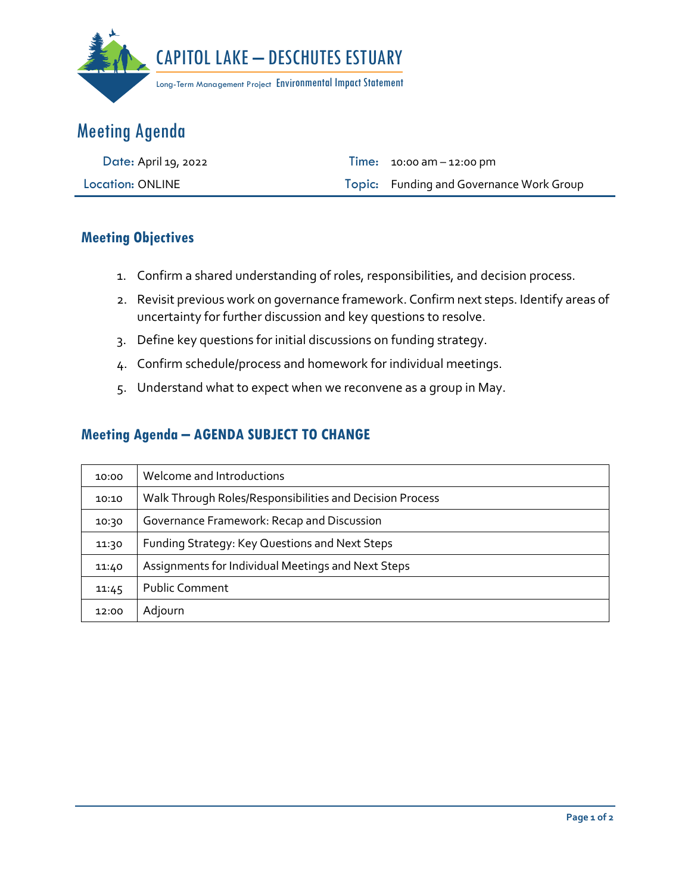

## Meeting Agenda

| Date: April 19, 2022    | <b>Time:</b> $10:00 \text{ am} - 12:00 \text{ pm}$ |
|-------------------------|----------------------------------------------------|
| <b>Location: ONLINE</b> | Topic: Funding and Governance Work Group           |

## **Meeting Objectives**

- 1. Confirm a shared understanding of roles, responsibilities, and decision process.
- 2. Revisit previous work on governance framework. Confirm next steps. Identify areas of uncertainty for further discussion and key questions to resolve.
- 3. Define key questions for initial discussions on funding strategy.
- 4. Confirm schedule/process and homework for individual meetings.
- 5. Understand what to expect when we reconvene as a group in May.

## **Meeting Agenda – AGENDA SUBJECT TO CHANGE**

| 10:00 | Welcome and Introductions                                |
|-------|----------------------------------------------------------|
| 10:10 | Walk Through Roles/Responsibilities and Decision Process |
| 10:30 | Governance Framework: Recap and Discussion               |
| 11:30 | Funding Strategy: Key Questions and Next Steps           |
| 11:40 | Assignments for Individual Meetings and Next Steps       |
| 11:45 | <b>Public Comment</b>                                    |
| 12:00 | Adjourn                                                  |